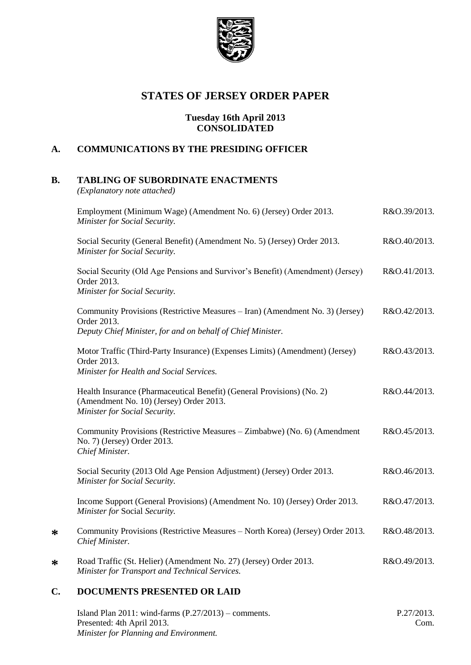

# **STATES OF JERSEY ORDER PAPER**

### **Tuesday 16th April 2013 CONSOLIDATED**

## **A. COMMUNICATIONS BY THE PRESIDING OFFICER**

## **B. TABLING OF SUBORDINATE ENACTMENTS**

*(Explanatory note attached)*

| Employment (Minimum Wage) (Amendment No. 6) (Jersey) Order 2013.<br>Minister for Social Security.                                                           | R&O.39/2013. |
|-------------------------------------------------------------------------------------------------------------------------------------------------------------|--------------|
| Social Security (General Benefit) (Amendment No. 5) (Jersey) Order 2013.<br>Minister for Social Security.                                                   | R&O.40/2013. |
| Social Security (Old Age Pensions and Survivor's Benefit) (Amendment) (Jersey)<br>Order 2013.<br>Minister for Social Security.                              | R&O.41/2013. |
| Community Provisions (Restrictive Measures – Iran) (Amendment No. 3) (Jersey)<br>Order 2013.<br>Deputy Chief Minister, for and on behalf of Chief Minister. | R&O.42/2013. |
| Motor Traffic (Third-Party Insurance) (Expenses Limits) (Amendment) (Jersey)<br>Order 2013.<br>Minister for Health and Social Services.                     | R&O.43/2013. |
| Health Insurance (Pharmaceutical Benefit) (General Provisions) (No. 2)<br>(Amendment No. 10) (Jersey) Order 2013.<br>Minister for Social Security.          | R&O.44/2013. |
| Community Provisions (Restrictive Measures - Zimbabwe) (No. 6) (Amendment<br>No. 7) (Jersey) Order 2013.<br>Chief Minister.                                 | R&O.45/2013. |
| Social Security (2013 Old Age Pension Adjustment) (Jersey) Order 2013.<br>Minister for Social Security.                                                     | R&O.46/2013. |
| Income Support (General Provisions) (Amendment No. 10) (Jersey) Order 2013.<br>Minister for Social Security.                                                | R&O.47/2013. |
| Community Provisions (Restrictive Measures - North Korea) (Jersey) Order 2013.<br>Chief Minister.                                                           | R&O.48/2013. |
| Road Traffic (St. Helier) (Amendment No. 27) (Jersey) Order 2013.<br>Minister for Transport and Technical Services.                                         | R&O.49/2013. |

## **C. DOCUMENTS PRESENTED OR LAID**

**\***

**\***

| Island Plan $2011$ : wind-farms $(P.27/2013)$ – comments. | P.27/2013. |
|-----------------------------------------------------------|------------|
| Presented: 4th April 2013.                                | Com.       |
| Minister for Planning and Environment.                    |            |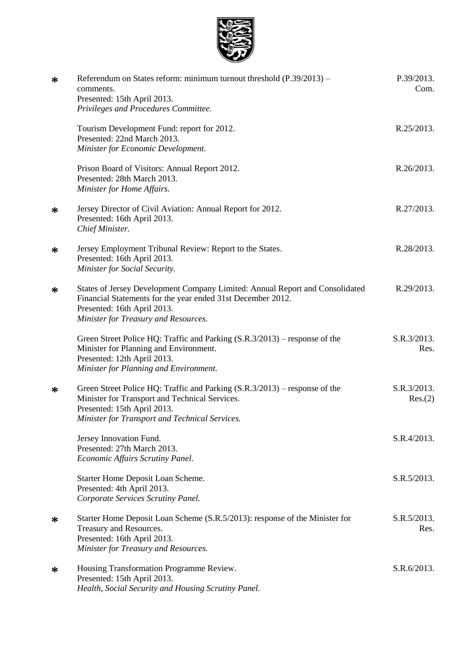

| ∗ | Referendum on States reform: minimum turnout threshold $(P.39/2013)$ –<br>comments.<br>Presented: 15th April 2013.<br>Privileges and Procedures Committee.                                                         | P.39/2013.<br>Com.     |
|---|--------------------------------------------------------------------------------------------------------------------------------------------------------------------------------------------------------------------|------------------------|
|   | Tourism Development Fund: report for 2012.<br>Presented: 22nd March 2013.<br>Minister for Economic Development.                                                                                                    | R.25/2013.             |
|   | Prison Board of Visitors: Annual Report 2012.<br>Presented: 28th March 2013.<br>Minister for Home Affairs.                                                                                                         | R.26/2013.             |
| ∗ | Jersey Director of Civil Aviation: Annual Report for 2012.<br>Presented: 16th April 2013.<br>Chief Minister.                                                                                                       | R.27/2013.             |
| ∗ | Jersey Employment Tribunal Review: Report to the States.<br>Presented: 16th April 2013.<br>Minister for Social Security.                                                                                           | R.28/2013.             |
| ∗ | States of Jersey Development Company Limited: Annual Report and Consolidated<br>Financial Statements for the year ended 31st December 2012.<br>Presented: 16th April 2013.<br>Minister for Treasury and Resources. | R.29/2013.             |
|   | Green Street Police HQ: Traffic and Parking $(S.R.3/2013)$ – response of the<br>Minister for Planning and Environment.<br>Presented: 12th April 2013.<br>Minister for Planning and Environment.                    | S.R.3/2013.<br>Res.    |
| ∗ | Green Street Police HQ: Traffic and Parking (S.R.3/2013) - response of the<br>Minister for Transport and Technical Services.<br>Presented: 15th April 2013.<br>Minister for Transport and Technical Services.      | S.R.3/2013.<br>Res.(2) |
|   | Jersey Innovation Fund.<br>Presented: 27th March 2013.<br><b>Economic Affairs Scrutiny Panel.</b>                                                                                                                  | S.R.4/2013.            |
|   | Starter Home Deposit Loan Scheme.<br>Presented: 4th April 2013.<br>Corporate Services Scrutiny Panel.                                                                                                              | S.R.5/2013.            |
| ∗ | Starter Home Deposit Loan Scheme (S.R.5/2013): response of the Minister for<br>Treasury and Resources.<br>Presented: 16th April 2013.<br>Minister for Treasury and Resources.                                      | S.R.5/2013.<br>Res.    |
| ∗ | Housing Transformation Programme Review.<br>Presented: 15th April 2013.<br>Health, Social Security and Housing Scrutiny Panel.                                                                                     | S.R.6/2013.            |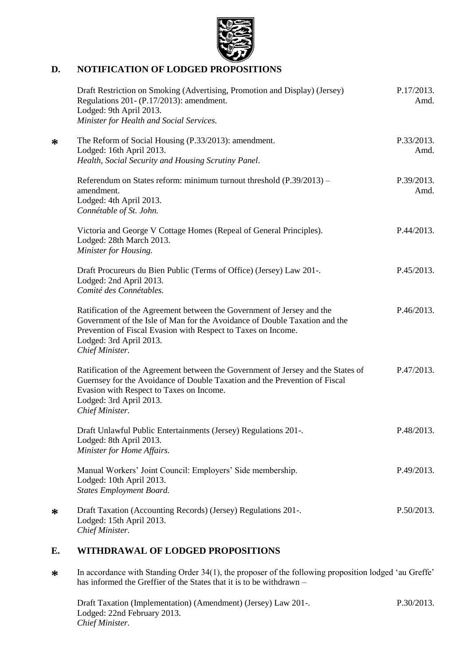

## **D. NOTIFICATION OF LODGED PROPOSITIONS**

|   | Draft Restriction on Smoking (Advertising, Promotion and Display) (Jersey)<br>Regulations 201- (P.17/2013): amendment.<br>Lodged: 9th April 2013.<br>Minister for Health and Social Services.                                                                       | P.17/2013.<br>Amd. |
|---|---------------------------------------------------------------------------------------------------------------------------------------------------------------------------------------------------------------------------------------------------------------------|--------------------|
| ∗ | The Reform of Social Housing (P.33/2013): amendment.<br>Lodged: 16th April 2013.<br>Health, Social Security and Housing Scrutiny Panel.                                                                                                                             | P.33/2013.<br>Amd. |
|   | Referendum on States reform: minimum turnout threshold $(P.39/2013)$ –<br>amendment.<br>Lodged: 4th April 2013.<br>Connétable of St. John.                                                                                                                          | P.39/2013.<br>Amd. |
|   | Victoria and George V Cottage Homes (Repeal of General Principles).<br>Lodged: 28th March 2013.<br>Minister for Housing.                                                                                                                                            | P.44/2013.         |
|   | Draft Procureurs du Bien Public (Terms of Office) (Jersey) Law 201-.<br>Lodged: 2nd April 2013.<br>Comité des Connétables.                                                                                                                                          | P.45/2013.         |
|   | Ratification of the Agreement between the Government of Jersey and the<br>Government of the Isle of Man for the Avoidance of Double Taxation and the<br>Prevention of Fiscal Evasion with Respect to Taxes on Income.<br>Lodged: 3rd April 2013.<br>Chief Minister. | P.46/2013.         |
|   | Ratification of the Agreement between the Government of Jersey and the States of<br>Guernsey for the Avoidance of Double Taxation and the Prevention of Fiscal<br>Evasion with Respect to Taxes on Income.<br>Lodged: 3rd April 2013.<br>Chief Minister.            | P.47/2013.         |
|   | Draft Unlawful Public Entertainments (Jersey) Regulations 201-.<br>Lodged: 8th April 2013.<br>Minister for Home Affairs.                                                                                                                                            | P.48/2013.         |
|   | Manual Workers' Joint Council: Employers' Side membership.<br>Lodged: 10th April 2013.<br><b>States Employment Board.</b>                                                                                                                                           | P.49/2013.         |
| ∗ | Draft Taxation (Accounting Records) (Jersey) Regulations 201-.<br>Lodged: 15th April 2013.<br>Chief Minister.                                                                                                                                                       | P.50/2013.         |

# **E. WITHDRAWAL OF LODGED PROPOSITIONS**

**\*** In accordance with Standing Order 34(1), the proposer of the following proposition lodged 'au Greffe' has informed the Greffier of the States that it is to be withdrawn –

| Draft Taxation (Implementation) (Amendment) (Jersey) Law 201-. | P.30/2013. |
|----------------------------------------------------------------|------------|
| Lodged: 22nd February 2013.                                    |            |
| Chief Minister.                                                |            |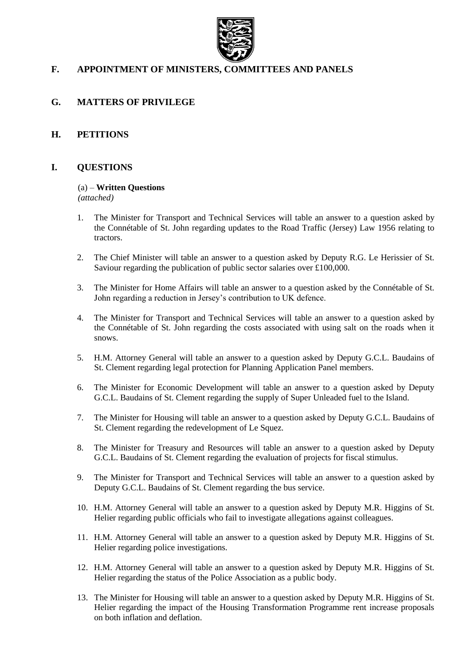

## **F. APPOINTMENT OF MINISTERS, COMMITTEES AND PANELS**

## **G. MATTERS OF PRIVILEGE**

### **H. PETITIONS**

### **I. QUESTIONS**

#### (a) – **Written Questions**

*(attached)*

- 1. The Minister for Transport and Technical Services will table an answer to a question asked by the Connétable of St. John regarding updates to the Road Traffic (Jersey) Law 1956 relating to tractors.
- 2. The Chief Minister will table an answer to a question asked by Deputy R.G. Le Herissier of St. Saviour regarding the publication of public sector salaries over £100,000.
- 3. The Minister for Home Affairs will table an answer to a question asked by the Connétable of St. John regarding a reduction in Jersey's contribution to UK defence.
- 4. The Minister for Transport and Technical Services will table an answer to a question asked by the Connétable of St. John regarding the costs associated with using salt on the roads when it snows.
- 5. H.M. Attorney General will table an answer to a question asked by Deputy G.C.L. Baudains of St. Clement regarding legal protection for Planning Application Panel members.
- 6. The Minister for Economic Development will table an answer to a question asked by Deputy G.C.L. Baudains of St. Clement regarding the supply of Super Unleaded fuel to the Island.
- 7. The Minister for Housing will table an answer to a question asked by Deputy G.C.L. Baudains of St. Clement regarding the redevelopment of Le Squez.
- 8. The Minister for Treasury and Resources will table an answer to a question asked by Deputy G.C.L. Baudains of St. Clement regarding the evaluation of projects for fiscal stimulus.
- 9. The Minister for Transport and Technical Services will table an answer to a question asked by Deputy G.C.L. Baudains of St. Clement regarding the bus service.
- 10. H.M. Attorney General will table an answer to a question asked by Deputy M.R. Higgins of St. Helier regarding public officials who fail to investigate allegations against colleagues.
- 11. H.M. Attorney General will table an answer to a question asked by Deputy M.R. Higgins of St. Helier regarding police investigations.
- 12. H.M. Attorney General will table an answer to a question asked by Deputy M.R. Higgins of St. Helier regarding the status of the Police Association as a public body.
- 13. The Minister for Housing will table an answer to a question asked by Deputy M.R. Higgins of St. Helier regarding the impact of the Housing Transformation Programme rent increase proposals on both inflation and deflation.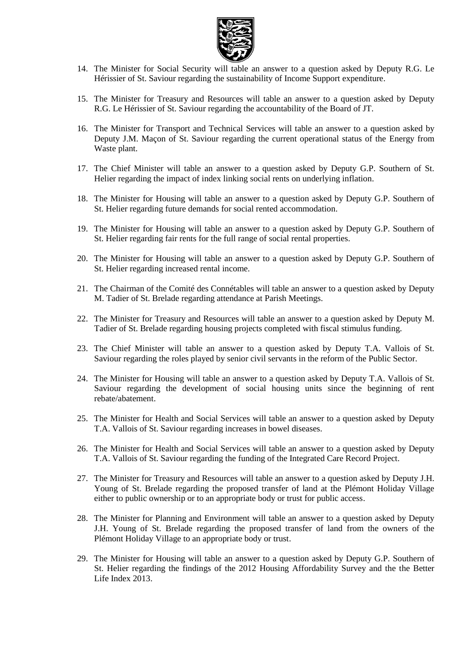

- 14. The Minister for Social Security will table an answer to a question asked by Deputy R.G. Le Hérissier of St. Saviour regarding the sustainability of Income Support expenditure.
- 15. The Minister for Treasury and Resources will table an answer to a question asked by Deputy R.G. Le Hérissier of St. Saviour regarding the accountability of the Board of JT.
- 16. The Minister for Transport and Technical Services will table an answer to a question asked by Deputy J.M. Maçon of St. Saviour regarding the current operational status of the Energy from Waste plant.
- 17. The Chief Minister will table an answer to a question asked by Deputy G.P. Southern of St. Helier regarding the impact of index linking social rents on underlying inflation.
- 18. The Minister for Housing will table an answer to a question asked by Deputy G.P. Southern of St. Helier regarding future demands for social rented accommodation.
- 19. The Minister for Housing will table an answer to a question asked by Deputy G.P. Southern of St. Helier regarding fair rents for the full range of social rental properties.
- 20. The Minister for Housing will table an answer to a question asked by Deputy G.P. Southern of St. Helier regarding increased rental income.
- 21. The Chairman of the Comité des Connétables will table an answer to a question asked by Deputy M. Tadier of St. Brelade regarding attendance at Parish Meetings.
- 22. The Minister for Treasury and Resources will table an answer to a question asked by Deputy M. Tadier of St. Brelade regarding housing projects completed with fiscal stimulus funding.
- 23. The Chief Minister will table an answer to a question asked by Deputy T.A. Vallois of St. Saviour regarding the roles played by senior civil servants in the reform of the Public Sector.
- 24. The Minister for Housing will table an answer to a question asked by Deputy T.A. Vallois of St. Saviour regarding the development of social housing units since the beginning of rent rebate/abatement.
- 25. The Minister for Health and Social Services will table an answer to a question asked by Deputy T.A. Vallois of St. Saviour regarding increases in bowel diseases.
- 26. The Minister for Health and Social Services will table an answer to a question asked by Deputy T.A. Vallois of St. Saviour regarding the funding of the Integrated Care Record Project.
- 27. The Minister for Treasury and Resources will table an answer to a question asked by Deputy J.H. Young of St. Brelade regarding the proposed transfer of land at the Plémont Holiday Village either to public ownership or to an appropriate body or trust for public access.
- 28. The Minister for Planning and Environment will table an answer to a question asked by Deputy J.H. Young of St. Brelade regarding the proposed transfer of land from the owners of the Plémont Holiday Village to an appropriate body or trust.
- 29. The Minister for Housing will table an answer to a question asked by Deputy G.P. Southern of St. Helier regarding the findings of the 2012 Housing Affordability Survey and the the Better Life Index 2013.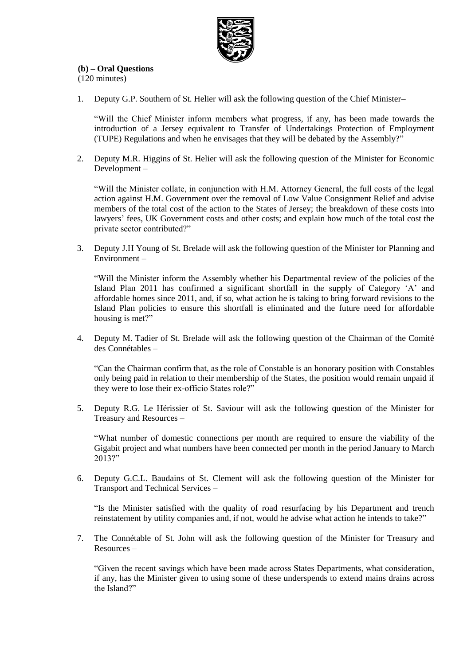

### **(b) – Oral Questions**

(120 minutes)

1. Deputy G.P. Southern of St. Helier will ask the following question of the Chief Minister–

"Will the Chief Minister inform members what progress, if any, has been made towards the introduction of a Jersey equivalent to Transfer of Undertakings Protection of Employment (TUPE) Regulations and when he envisages that they will be debated by the Assembly?"

2. Deputy M.R. Higgins of St. Helier will ask the following question of the Minister for Economic Development –

"Will the Minister collate, in conjunction with H.M. Attorney General, the full costs of the legal action against H.M. Government over the removal of Low Value Consignment Relief and advise members of the total cost of the action to the States of Jersey; the breakdown of these costs into lawyers' fees, UK Government costs and other costs; and explain how much of the total cost the private sector contributed?"

3. Deputy J.H Young of St. Brelade will ask the following question of the Minister for Planning and Environment –

"Will the Minister inform the Assembly whether his Departmental review of the policies of the Island Plan 2011 has confirmed a significant shortfall in the supply of Category 'A' and affordable homes since 2011, and, if so, what action he is taking to bring forward revisions to the Island Plan policies to ensure this shortfall is eliminated and the future need for affordable housing is met?"

4. Deputy M. Tadier of St. Brelade will ask the following question of the Chairman of the Comité des Connétables –

"Can the Chairman confirm that, as the role of Constable is an honorary position with Constables only being paid in relation to their membership of the States, the position would remain unpaid if they were to lose their ex-officio States role?"

5. Deputy R.G. Le Hérissier of St. Saviour will ask the following question of the Minister for Treasury and Resources –

"What number of domestic connections per month are required to ensure the viability of the Gigabit project and what numbers have been connected per month in the period January to March 2013?"

6. Deputy G.C.L. Baudains of St. Clement will ask the following question of the Minister for Transport and Technical Services –

"Is the Minister satisfied with the quality of road resurfacing by his Department and trench reinstatement by utility companies and, if not, would he advise what action he intends to take?"

7. The Connétable of St. John will ask the following question of the Minister for Treasury and Resources –

"Given the recent savings which have been made across States Departments, what consideration, if any, has the Minister given to using some of these underspends to extend mains drains across the Island?"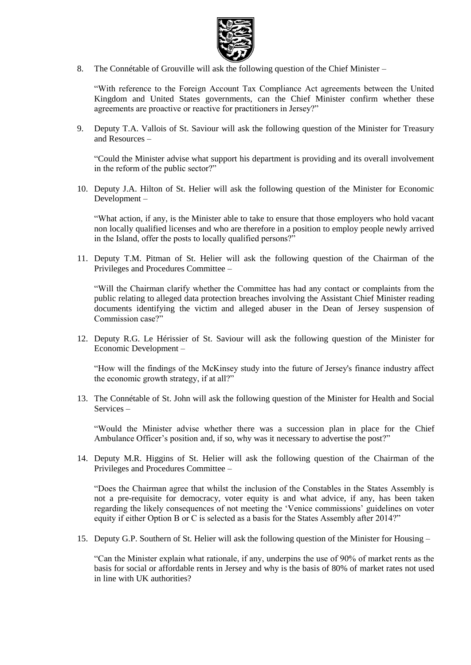

8. The Connétable of Grouville will ask the following question of the Chief Minister –

"With reference to the Foreign Account Tax Compliance Act agreements between the United Kingdom and United States governments, can the Chief Minister confirm whether these agreements are proactive or reactive for practitioners in Jersey?"

9. Deputy T.A. Vallois of St. Saviour will ask the following question of the Minister for Treasury and Resources –

"Could the Minister advise what support his department is providing and its overall involvement in the reform of the public sector?"

10. Deputy J.A. Hilton of St. Helier will ask the following question of the Minister for Economic Development –

"What action, if any, is the Minister able to take to ensure that those employers who hold vacant non locally qualified licenses and who are therefore in a position to employ people newly arrived in the Island, offer the posts to locally qualified persons?"

11. Deputy T.M. Pitman of St. Helier will ask the following question of the Chairman of the Privileges and Procedures Committee –

"Will the Chairman clarify whether the Committee has had any contact or complaints from the public relating to alleged data protection breaches involving the Assistant Chief Minister reading documents identifying the victim and alleged abuser in the Dean of Jersey suspension of Commission case?"

12. Deputy R.G. Le Hérissier of St. Saviour will ask the following question of the Minister for Economic Development –

"How will the findings of the McKinsey study into the future of Jersey's finance industry affect the economic growth strategy, if at all?"

13. The Connétable of St. John will ask the following question of the Minister for Health and Social Services –

"Would the Minister advise whether there was a succession plan in place for the Chief Ambulance Officer's position and, if so, why was it necessary to advertise the post?"

14. Deputy M.R. Higgins of St. Helier will ask the following question of the Chairman of the Privileges and Procedures Committee –

"Does the Chairman agree that whilst the inclusion of the Constables in the States Assembly is not a pre-requisite for democracy, voter equity is and what advice, if any, has been taken regarding the likely consequences of not meeting the 'Venice commissions' guidelines on voter equity if either Option B or C is selected as a basis for the States Assembly after 2014?"

15. Deputy G.P. Southern of St. Helier will ask the following question of the Minister for Housing –

"Can the Minister explain what rationale, if any, underpins the use of 90% of market rents as the basis for social or affordable rents in Jersey and why is the basis of 80% of market rates not used in line with UK authorities?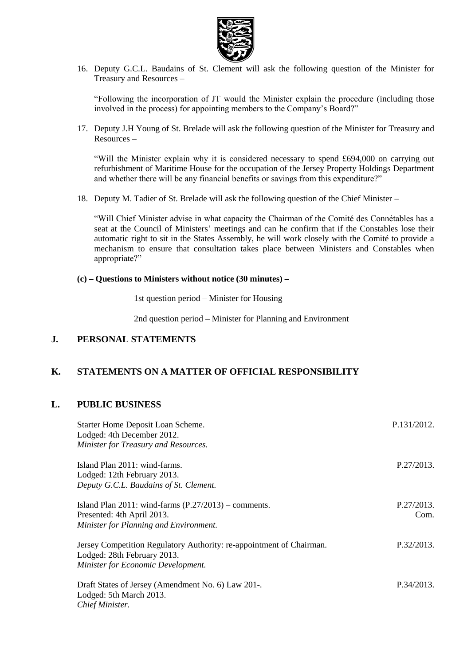

16. Deputy G.C.L. Baudains of St. Clement will ask the following question of the Minister for Treasury and Resources –

"Following the incorporation of JT would the Minister explain the procedure (including those involved in the process) for appointing members to the Company's Board?"

17. Deputy J.H Young of St. Brelade will ask the following question of the Minister for Treasury and Resources –

"Will the Minister explain why it is considered necessary to spend £694,000 on carrying out refurbishment of Maritime House for the occupation of the Jersey Property Holdings Department and whether there will be any financial benefits or savings from this expenditure?"

18. Deputy M. Tadier of St. Brelade will ask the following question of the Chief Minister –

"Will Chief Minister advise in what capacity the Chairman of the Comité des Connétables has a seat at the Council of Ministers' meetings and can he confirm that if the Constables lose their automatic right to sit in the States Assembly, he will work closely with the Comité to provide a mechanism to ensure that consultation takes place between Ministers and Constables when appropriate?"

#### **(c) – Questions to Ministers without notice (30 minutes) –**

1st question period – Minister for Housing

2nd question period – Minister for Planning and Environment

### **J. PERSONAL STATEMENTS**

## **K. STATEMENTS ON A MATTER OF OFFICIAL RESPONSIBILITY**

#### **L. PUBLIC BUSINESS**

| Starter Home Deposit Loan Scheme.<br>Lodged: 4th December 2012.<br>Minister for Treasury and Resources.                                   | P.131/2012.        |
|-------------------------------------------------------------------------------------------------------------------------------------------|--------------------|
| Island Plan 2011: wind-farms.<br>Lodged: 12th February 2013.<br>Deputy G.C.L. Baudains of St. Clement.                                    | P.27/2013.         |
| Island Plan $2011$ : wind-farms $(P.27/2013)$ – comments.<br>Presented: 4th April 2013.<br>Minister for Planning and Environment.         | P.27/2013.<br>Com. |
| Jersey Competition Regulatory Authority: re-appointment of Chairman.<br>Lodged: 28th February 2013.<br>Minister for Economic Development. | P.32/2013.         |
| Draft States of Jersey (Amendment No. 6) Law 201-.<br>Lodged: 5th March 2013.<br>Chief Minister.                                          | P.34/2013.         |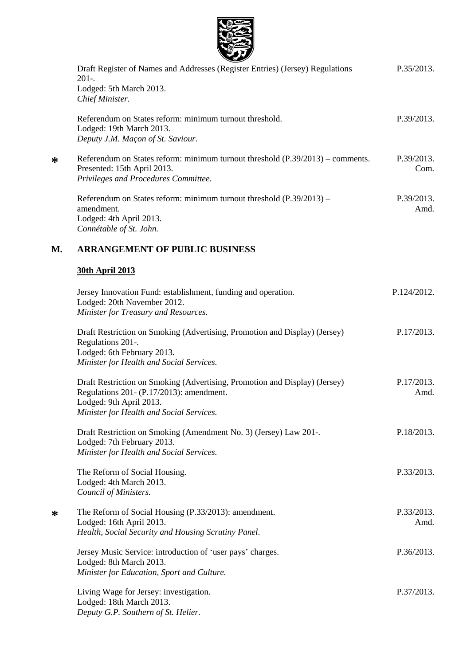

|    | $\sim$<br>Draft Register of Names and Addresses (Register Entries) (Jersey) Regulations<br>$201-.$<br>Lodged: 5th March 2013.<br>Chief Minister.                                              | P.35/2013.         |
|----|-----------------------------------------------------------------------------------------------------------------------------------------------------------------------------------------------|--------------------|
|    | Referendum on States reform: minimum turnout threshold.<br>Lodged: 19th March 2013.<br>Deputy J.M. Maçon of St. Saviour.                                                                      | P.39/2013.         |
| ∗  | Referendum on States reform: minimum turnout threshold (P.39/2013) – comments.<br>Presented: 15th April 2013.<br>Privileges and Procedures Committee.                                         | P.39/2013.<br>Com. |
|    | Referendum on States reform: minimum turnout threshold $(P.39/2013)$ –<br>amendment.<br>Lodged: 4th April 2013.<br>Connétable of St. John.                                                    | P.39/2013.<br>Amd. |
| M. | <b>ARRANGEMENT OF PUBLIC BUSINESS</b>                                                                                                                                                         |                    |
|    | <b>30th April 2013</b>                                                                                                                                                                        |                    |
|    | Jersey Innovation Fund: establishment, funding and operation.<br>Lodged: 20th November 2012.<br>Minister for Treasury and Resources.                                                          | P.124/2012.        |
|    | Draft Restriction on Smoking (Advertising, Promotion and Display) (Jersey)<br>Regulations 201-.<br>Lodged: 6th February 2013.<br>Minister for Health and Social Services.                     | P.17/2013.         |
|    | Draft Restriction on Smoking (Advertising, Promotion and Display) (Jersey)<br>Regulations 201- (P.17/2013): amendment.<br>Lodged: 9th April 2013.<br>Minister for Health and Social Services. | P.17/2013.<br>Amd. |
|    | Draft Restriction on Smoking (Amendment No. 3) (Jersey) Law 201-.<br>Lodged: 7th February 2013.<br>Minister for Health and Social Services.                                                   | P.18/2013.         |
|    | The Reform of Social Housing.<br>Lodged: 4th March 2013.<br>Council of Ministers.                                                                                                             | P.33/2013.         |
| ∗  | The Reform of Social Housing (P.33/2013): amendment.<br>Lodged: 16th April 2013.<br>Health, Social Security and Housing Scrutiny Panel.                                                       | P.33/2013.<br>Amd. |
|    | Jersey Music Service: introduction of 'user pays' charges.<br>Lodged: 8th March 2013.<br>Minister for Education, Sport and Culture.                                                           | P.36/2013.         |
|    | Living Wage for Jersey: investigation.<br>Lodged: 18th March 2013.<br>Deputy G.P. Southern of St. Helier.                                                                                     | P.37/2013.         |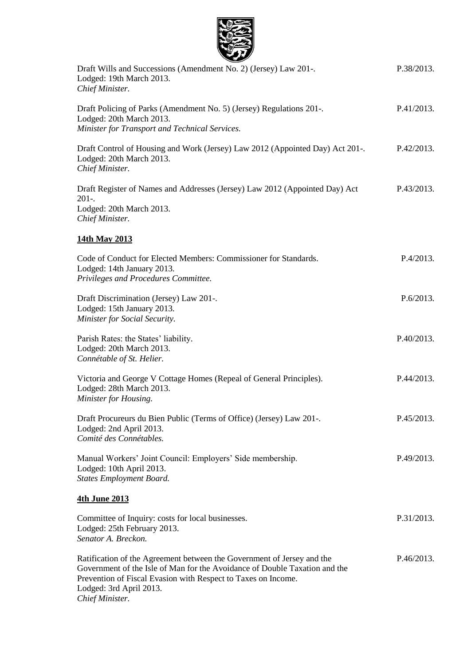| Draft Wills and Successions (Amendment No. 2) (Jersey) Law 201-.<br>Lodged: 19th March 2013.<br>Chief Minister.                                                                                                                                                     | P.38/2013. |
|---------------------------------------------------------------------------------------------------------------------------------------------------------------------------------------------------------------------------------------------------------------------|------------|
| Draft Policing of Parks (Amendment No. 5) (Jersey) Regulations 201-.<br>Lodged: 20th March 2013.<br>Minister for Transport and Technical Services.                                                                                                                  | P.41/2013. |
| Draft Control of Housing and Work (Jersey) Law 2012 (Appointed Day) Act 201-.<br>Lodged: 20th March 2013.<br>Chief Minister.                                                                                                                                        | P.42/2013. |
| Draft Register of Names and Addresses (Jersey) Law 2012 (Appointed Day) Act<br>$201-.$<br>Lodged: 20th March 2013.<br>Chief Minister.                                                                                                                               | P.43/2013. |
| 14th May 2013                                                                                                                                                                                                                                                       |            |
| Code of Conduct for Elected Members: Commissioner for Standards.<br>Lodged: 14th January 2013.<br>Privileges and Procedures Committee.                                                                                                                              | P.4/2013.  |
| Draft Discrimination (Jersey) Law 201-.<br>Lodged: 15th January 2013.<br>Minister for Social Security.                                                                                                                                                              | P.6/2013.  |
| Parish Rates: the States' liability.<br>Lodged: 20th March 2013.<br>Connétable of St. Helier.                                                                                                                                                                       | P.40/2013. |
| Victoria and George V Cottage Homes (Repeal of General Principles).<br>Lodged: 28th March 2013.<br>Minister for Housing.                                                                                                                                            | P.44/2013. |
| Draft Procureurs du Bien Public (Terms of Office) (Jersey) Law 201-.<br>Lodged: 2nd April 2013.<br>Comité des Connétables.                                                                                                                                          | P.45/2013. |
| Manual Workers' Joint Council: Employers' Side membership.<br>Lodged: 10th April 2013.<br><b>States Employment Board.</b>                                                                                                                                           | P.49/2013. |
| <b>4th June 2013</b>                                                                                                                                                                                                                                                |            |
| Committee of Inquiry: costs for local businesses.<br>Lodged: 25th February 2013.<br>Senator A. Breckon.                                                                                                                                                             | P.31/2013. |
| Ratification of the Agreement between the Government of Jersey and the<br>Government of the Isle of Man for the Avoidance of Double Taxation and the<br>Prevention of Fiscal Evasion with Respect to Taxes on Income.<br>Lodged: 3rd April 2013.<br>Chief Minister. | P.46/2013. |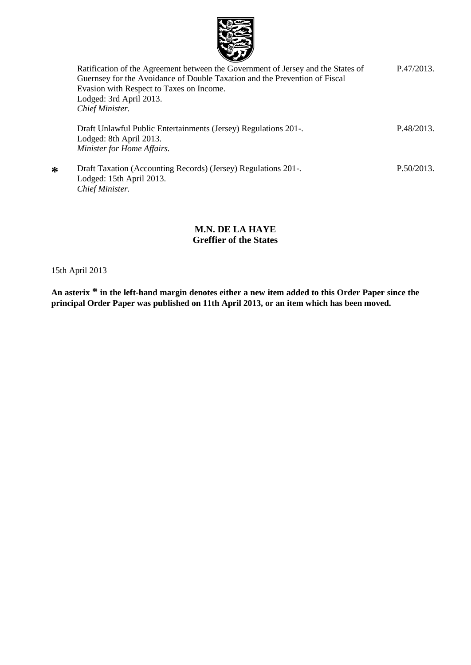

| Ratification of the Agreement between the Government of Jersey and the States of | P.47/2013. |
|----------------------------------------------------------------------------------|------------|
| Guernsey for the Avoidance of Double Taxation and the Prevention of Fiscal       |            |
| Evasion with Respect to Taxes on Income.                                         |            |
| Lodged: 3rd April 2013.                                                          |            |
| Chief Minister.                                                                  |            |
| Draft Unlawful Public Entertainments (Jersey) Regulations 201-.                  | P.48/2013. |
| Lodged: 8th April 2013.                                                          |            |
| Minister for Home Affairs.                                                       |            |
|                                                                                  |            |
| Draft Taxation (Accounting Records) (Jersey) Regulations 201-.                   | P.50/2013. |
| Lodged: 15th April 2013.                                                         |            |
| Chief Minister.                                                                  |            |
|                                                                                  |            |

## **M.N. DE LA HAYE Greffier of the States**

15th April 2013

**\***

**An asterix \* in the left-hand margin denotes either a new item added to this Order Paper since the principal Order Paper was published on 11th April 2013, or an item which has been moved.**